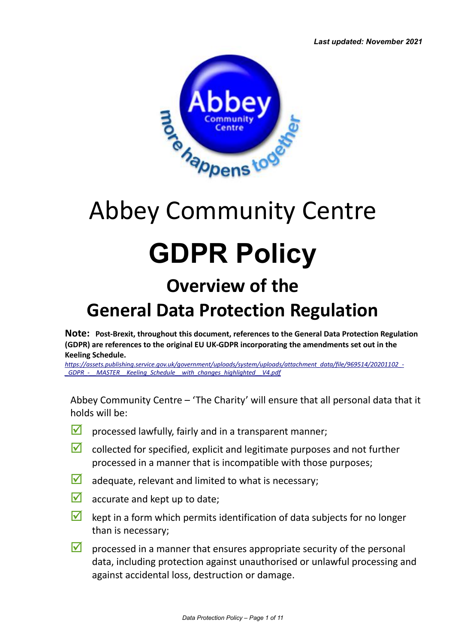

# Abbey Community Centre **GDPR Policy Overview of the**

### **General Data Protection Regulation**

**Note: Post-Brexit, throughout this document, references to the General Data Protection Regulation (GDPR) are references to the original EU UK-GDPR incorporating the amendments set out in the Keeling Schedule.**

*[https://assets.publishing.service.gov.uk/government/uploads/system/uploads/attachment\\_data/file/969514/20201102\\_-](https://assets.publishing.service.gov.uk/government/uploads/system/uploads/attachment_data/file/969514/20201102_-_GDPR_-__MASTER__Keeling_Schedule__with_changes_highlighted__V4.pdf) [\\_GDPR\\_-\\_\\_MASTER\\_\\_Keeling\\_Schedule\\_\\_with\\_changes\\_highlighted\\_\\_V4.pdf](https://assets.publishing.service.gov.uk/government/uploads/system/uploads/attachment_data/file/969514/20201102_-_GDPR_-__MASTER__Keeling_Schedule__with_changes_highlighted__V4.pdf)*

Abbey Community Centre – 'The Charity' will ensure that all personal data that it holds will be:

- $\blacksquare$  processed lawfully, fairly and in a transparent manner;
- $\blacksquare$  collected for specified, explicit and legitimate purposes and not further processed in a manner that is incompatible with those purposes;
- $\blacksquare$  adequate, relevant and limited to what is necessary;
- $\blacksquare$  accurate and kept up to date;
- $\blacksquare$  kept in a form which permits identification of data subjects for no longer than is necessary;
- $\blacksquare$  processed in a manner that ensures appropriate security of the personal data, including protection against unauthorised or unlawful processing and against accidental loss, destruction or damage.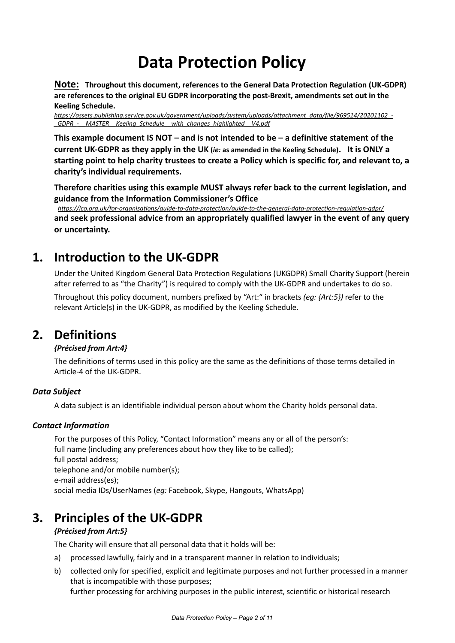### **Data Protection Policy**

**Note: Throughout this document, references to the General Data Protection Regulation (UK-GDPR) are references to the original EU GDPR incorporating the post-Brexit, amendments set out in the Keeling Schedule.**

*[https://assets.publishing.service.gov.uk/government/uploads/system/uploads/attachment\\_data/file/969514/20201102\\_-](https://assets.publishing.service.gov.uk/government/uploads/system/uploads/attachment_data/file/969514/20201102_-_GDPR_-__MASTER__Keeling_Schedule__with_changes_highlighted__V4.pdf) [\\_GDPR\\_-\\_\\_MASTER\\_\\_Keeling\\_Schedule\\_\\_with\\_changes\\_highlighted\\_\\_V4.pdf](https://assets.publishing.service.gov.uk/government/uploads/system/uploads/attachment_data/file/969514/20201102_-_GDPR_-__MASTER__Keeling_Schedule__with_changes_highlighted__V4.pdf)*

**This example document IS NOT – and is not intended to be – a definitive statement of the current UK-GDPR as they apply in the UK (***ie:* **as amended in the Keeling Schedule). It is ONLY a starting point to help charity trustees to create a Policy which is specific for, and relevant to, a charity's individual requirements.**

**Therefore charities using this example MUST always refer back to the current legislation, and guidance from the Information Commissioner's Office**

*<https://ico.org.uk/for-organisations/guide-to-data-protection/guide-to-the-general-data-protection-regulation-gdpr/>* **and seek professional advice from an appropriately qualified lawyer in the event of any query or uncertainty.**

### **1. Introduction to the UK-GDPR**

Under the United Kingdom General Data Protection Regulations (UKGDPR) Small Charity Support (herein after referred to as "the Charity") is required to comply with the UK-GDPR and undertakes to do so.

Throughout this policy document, numbers prefixed by "Art:" in brackets *(eg: {Art:5})* refer to the relevant Article(s) in the UK-GDPR, as modified by the Keeling Schedule.

### <span id="page-1-0"></span>**2. Definitions**

#### *{Précised from Art:4}*

The definitions of terms used in this policy are the same as the definitions of those terms detailed in Article-4 of the UK-GDPR.

#### *Data Subject*

A data subject is an identifiable individual person about whom the Charity holds personal data.

#### *Contact Information*

For the purposes of this Policy, "Contact Information" means any or all of the person's: full name (including any preferences about how they like to be called); full postal address; telephone and/or mobile number(s); e-mail address(es); social media IDs/UserNames (*eg:* Facebook, Skype, Hangouts, WhatsApp)

### **3. Principles of the UK-GDPR**

#### *{Précised from Art:5}*

The Charity will ensure that all personal data that it holds will be:

- a) processed lawfully, fairly and in a transparent manner in relation to individuals;
- b) collected only for specified, explicit and legitimate purposes and not further processed in a manner that is incompatible with those purposes; further processing for archiving purposes in the public interest, scientific or historical research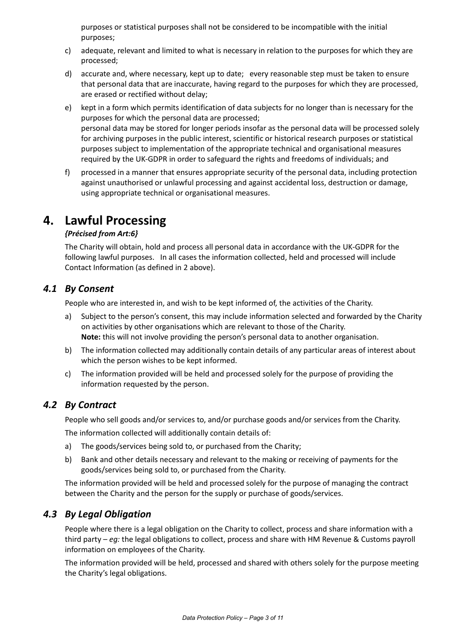purposes or statistical purposes shall not be considered to be incompatible with the initial purposes;

- c) adequate, relevant and limited to what is necessary in relation to the purposes for which they are processed;
- d) accurate and, where necessary, kept up to date; every reasonable step must be taken to ensure that personal data that are inaccurate, having regard to the purposes for which they are processed, are erased or rectified without delay;
- e) kept in a form which permits identification of data subjects for no longer than is necessary for the purposes for which the personal data are processed; personal data may be stored for longer periods insofar as the personal data will be processed solely for archiving purposes in the public interest, scientific or historical research purposes or statistical purposes subject to implementation of the appropriate technical and organisational measures required by the UK-GDPR in order to safeguard the rights and freedoms of individuals; and
- f) processed in a manner that ensures appropriate security of the personal data, including protection against unauthorised or unlawful processing and against accidental loss, destruction or damage, using appropriate technical or organisational measures.

### **4. Lawful Processing**

#### *{Précised from Art:6}*

The Charity will obtain, hold and process all personal data in accordance with the UK-GDPR for the following lawful purposes. In all cases the information collected, held and processed will include Contact Information (as defined in [2](#page-1-0) above).

### <span id="page-2-1"></span>*4.1 By Consent*

People who are interested in, and wish to be kept informed of, the activities of the Charity.

- a) Subject to the person's consent, this may include information selected and forwarded by the Charity on activities by other organisations which are relevant to those of the Charity. **Note:** this will not involve providing the person's personal data to another organisation.
- b) The information collected may additionally contain details of any particular areas of interest about which the person wishes to be kept informed.
- c) The information provided will be held and processed solely for the purpose of providing the information requested by the person.

### <span id="page-2-2"></span>*4.2 By Contract*

People who sell goods and/or services to, and/or purchase goods and/or services from the Charity.

The information collected will additionally contain details of:

- a) The goods/services being sold to, or purchased from the Charity;
- b) Bank and other details necessary and relevant to the making or receiving of payments for the goods/services being sold to, or purchased from the Charity.

The information provided will be held and processed solely for the purpose of managing the contract between the Charity and the person for the supply or purchase of goods/services.

### <span id="page-2-0"></span>*4.3 By Legal Obligation*

People where there is a legal obligation on the Charity to collect, process and share information with a third party – *eg:* the legal obligations to collect, process and share with HM Revenue & Customs payroll information on employees of the Charity.

The information provided will be held, processed and shared with others solely for the purpose meeting the Charity's legal obligations.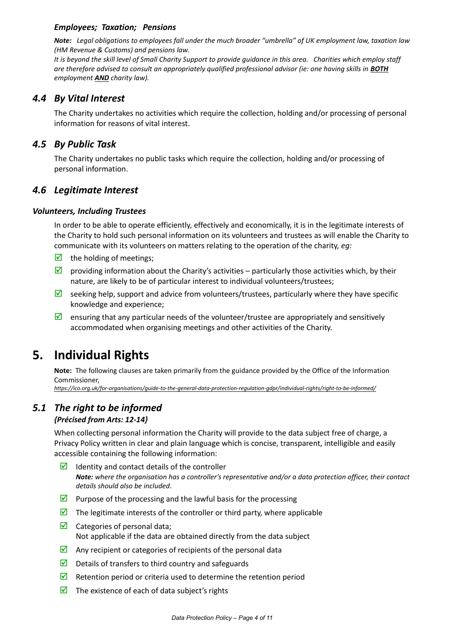#### *Employees; Taxation; Pensions*

*Note: Legal obligations to employees fall under the much broader "umbrella" of UK employment law, taxation law (HM Revenue & Customs) and pensions law.*

*It is beyond the skill level of Small Charity Support to provide guidance in this area. Charities which employ staff are therefore advised to consult an appropriately qualified professional advisor (ie: one having skills in BOTH employment AND charity law).*

### *4.4 By Vital Interest*

The Charity undertakes no activities which require the collection, holding and/or processing of personal information for reasons of vital interest.

### <span id="page-3-0"></span>*4.5 By Public Task*

The Charity undertakes no public tasks which require the collection, holding and/or processing of personal information.

#### <span id="page-3-1"></span>*4.6 Legitimate Interest*

#### *Volunteers, Including Trustees*

In order to be able to operate efficiently, effectively and economically, it is in the legitimate interests of the Charity to hold such personal information on its volunteers and trustees as will enable the Charity to communicate with its volunteers on matters relating to the operation of the charity, *eg:*

- $\triangleright$  the holding of meetings;
- $\boxtimes$  providing information about the Charity's activities particularly those activities which, by their nature, are likely to be of particular interest to individual volunteers/trustees;
- Seeking help, support and advice from volunteers/trustees, particularly where they have specific knowledge and experience;
- $\Box$  ensuring that any particular needs of the volunteer/trustee are appropriately and sensitively accommodated when organising meetings and other activities of the Charity.

### **5. Individual Rights**

**Note:** The following clauses are taken primarily from the guidance provided by the Office of the Information Commissioner,

*<https://ico.org.uk/for-organisations/guide-to-the-general-data-protection-regulation-gdpr/individual-rights/right-to-be-informed/>*

### <span id="page-3-2"></span>*5.1 The right to be informed*

#### *{Précised from Arts: 12-14}*

When collecting personal information the Charity will provide to the data subject free of charge, a Privacy Policy written in clear and plain language which is concise, transparent, intelligible and easily accessible containing the following information:

- $\Box$  Identity and contact details of the controller *Note: where the organisation has a controller's representative and/or a data protection officer, their contact details should also be included*.
- **Purpose of the processing and the lawful basis for the processing**
- $\triangledown$  The legitimate interests of the controller or third party, where applicable
- $\triangleright$  Categories of personal data; Not applicable if the data are obtained directly from the data subject
- $\triangleright$  Any recipient or categories of recipients of the personal data
- $\triangleright$  Details of transfers to third country and safeguards
- Retention period or criteria used to determine the retention period
- $\triangleright$  The existence of each of data subject's rights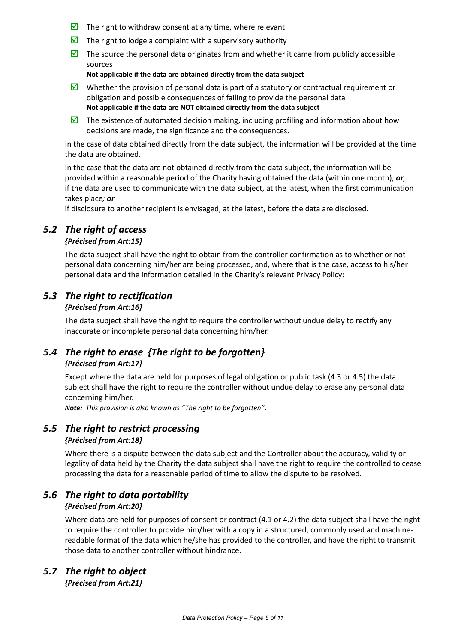- $\triangleright$  The right to withdraw consent at any time, where relevant
- $\triangleright$  The right to lodge a complaint with a supervisory authority
- $\triangledown$  The source the personal data originates from and whether it came from publicly accessible sources

**Not applicable if the data are obtained directly from the data subject**

- Whether the provision of personal data is part of a statutory or contractual requirement or obligation and possible consequences of failing to provide the personal data **Not applicable if the data are NOT obtained directly from the data subject**
- The existence of automated decision making, including profiling and information about how decisions are made, the significance and the consequences.

In the case of data obtained directly from the data subject, the information will be provided at the time the data are obtained.

In the case that the data are not obtained directly from the data subject, the information will be provided within a reasonable period of the Charity having obtained the data (within one month), *or,* if the data are used to communicate with the data subject, at the latest, when the first communication takes place*; or*

if disclosure to another recipient is envisaged, at the latest, before the data are disclosed.

### *5.2 The right of access*

#### *{Précised from Art:15}*

The data subject shall have the right to obtain from the controller confirmation as to whether or not personal data concerning him/her are being processed, and, where that is the case, access to his/her personal data and the information detailed in the Charity's relevant Privacy Policy:

### *5.3 The right to rectification*

#### *{Précised from Art:16}*

The data subject shall have the right to require the controller without undue delay to rectify any inaccurate or incomplete personal data concerning him/her.

### *5.4 The right to erase {The right to be forgotten} {Précised from Art:17}*

Except where the data are held for purposes of legal obligation or public task [\(4.3](#page-2-0) or [4.5\)](#page-3-0) the data subject shall have the right to require the controller without undue delay to erase any personal data concerning him/her.

*Note: This provision is also known as "The right to be forgotten"*.

#### *5.5 The right to restrict processing {Précised from Art:18}*

Where there is a dispute between the data subject and the Controller about the accuracy, validity or legality of data held by the Charity the data subject shall have the right to require the controlled to cease processing the data for a reasonable period of time to allow the dispute to be resolved.

### *5.6 The right to data portability*

### *{Précised from Art:20}*

Where data are held for purposes of consent or contract [\(4.1](#page-2-1) o[r 4.2\)](#page-2-2) the data subject shall have the right to require the controller to provide him/her with a copy in a structured, commonly used and machinereadable format of the data which he/she has provided to the controller, and have the right to transmit those data to another controller without hindrance.

### *5.7 The right to object*

*{Précised from Art:21}*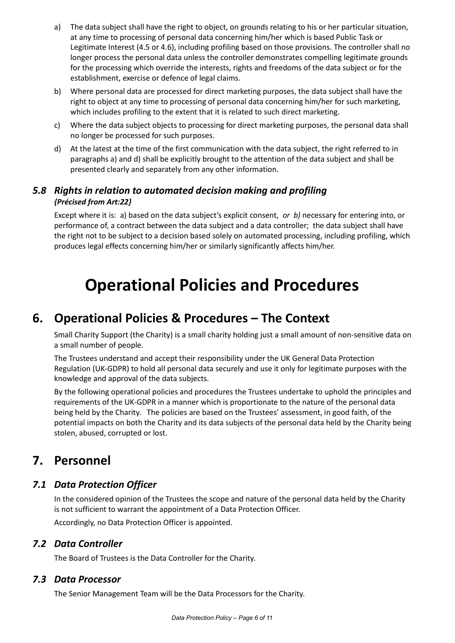- a) The data subject shall have the right to object, on grounds relating to his or her particular situation, at any time to processing of personal data concerning him/her which is based Public Task or Legitimate Interest [\(4.5](#page-3-0) o[r 4.6\)](#page-3-1), including profiling based on those provisions. The controller shall no longer process the personal data unless the controller demonstrates compelling legitimate grounds for the processing which override the interests, rights and freedoms of the data subject or for the establishment, exercise or defence of legal claims.
- b) Where personal data are processed for direct marketing purposes, the data subject shall have the right to object at any time to processing of personal data concerning him/her for such marketing, which includes profiling to the extent that it is related to such direct marketing.
- c) Where the data subject objects to processing for direct marketing purposes, the personal data shall no longer be processed for such purposes.
- <span id="page-5-0"></span>d) At the latest at the time of the first communication with the data subject, the right referred to in paragraphs a) and [d\)](#page-5-0) shall be explicitly brought to the attention of the data subject and shall be presented clearly and separately from any other information.

### *5.8 Rights in relation to automated decision making and profiling {Précised from Art:22}*

Except where it is: a) based on the data subject's explicit consent, *or b)* necessary for entering into, or performance of, a contract between the data subject and a data controller; the data subject shall have the right not to be subject to a decision based solely on automated processing, including profiling, which produces legal effects concerning him/her or similarly significantly affects him/her.

## **Operational Policies and Procedures**

### **6. Operational Policies & Procedures – The Context**

Small Charity Support (the Charity) is a small charity holding just a small amount of non-sensitive data on a small number of people.

The Trustees understand and accept their responsibility under the UK General Data Protection Regulation (UK-GDPR) to hold all personal data securely and use it only for legitimate purposes with the knowledge and approval of the data subjects.

By the following operational policies and procedures the Trustees undertake to uphold the principles and requirements of the UK-GDPR in a manner which is proportionate to the nature of the personal data being held by the Charity. The policies are based on the Trustees' assessment, in good faith, of the potential impacts on both the Charity and its data subjects of the personal data held by the Charity being stolen, abused, corrupted or lost.

### **7. Personnel**

### *7.1 Data Protection Officer*

In the considered opinion of the Trustees the scope and nature of the personal data held by the Charity is not sufficient to warrant the appointment of a Data Protection Officer.

Accordingly, no Data Protection Officer is appointed.

### *7.2 Data Controller*

The Board of Trustees is the Data Controller for the Charity.

### *7.3 Data Processor*

The Senior Management Team will be the Data Processors for the Charity.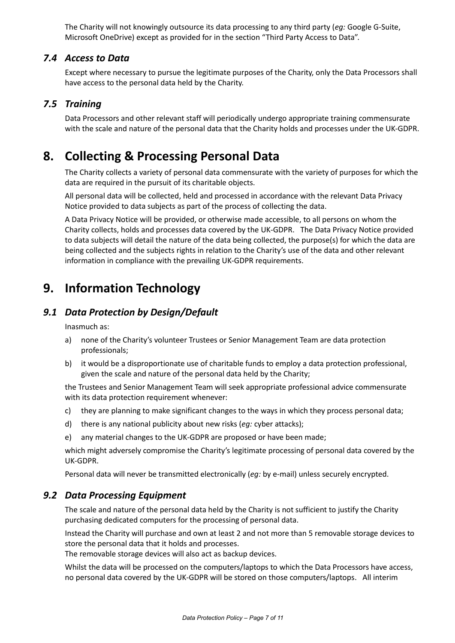The Charity will not knowingly outsource its data processing to any third party (*eg:* Google G-Suite, Microsoft OneDrive) except as provided for in the section "Third Party Access to Data".

### *7.4 Access to Data*

Except where necessary to pursue the legitimate purposes of the Charity, only the Data Processors shall have access to the personal data held by the Charity.

### *7.5 Training*

Data Processors and other relevant staff will periodically undergo appropriate training commensurate with the scale and nature of the personal data that the Charity holds and processes under the UK-GDPR.

### **8. Collecting & Processing Personal Data**

The Charity collects a variety of personal data commensurate with the variety of purposes for which the data are required in the pursuit of its charitable objects.

All personal data will be collected, held and processed in accordance with the relevant Data Privacy Notice provided to data subjects as part of the process of collecting the data.

A Data Privacy Notice will be provided, or otherwise made accessible, to all persons on whom the Charity collects, holds and processes data covered by the UK-GDPR. The Data Privacy Notice provided to data subjects will detail the nature of the data being collected, the purpose(s) for which the data are being collected and the subjects rights in relation to the Charity's use of the data and other relevant information in compliance with the prevailing UK-GDPR requirements.

### **9. Information Technology**

### *9.1 Data Protection by Design/Default*

Inasmuch as:

- a) none of the Charity's volunteer Trustees or Senior Management Team are data protection professionals;
- b) it would be a disproportionate use of charitable funds to employ a data protection professional, given the scale and nature of the personal data held by the Charity;

the Trustees and Senior Management Team will seek appropriate professional advice commensurate with its data protection requirement whenever:

- c) they are planning to make significant changes to the ways in which they process personal data;
- d) there is any national publicity about new risks (*eg:* cyber attacks);
- e) any material changes to the UK-GDPR are proposed or have been made;

which might adversely compromise the Charity's legitimate processing of personal data covered by the UK-GDPR.

Personal data will never be transmitted electronically (*eg:* by e-mail) unless securely encrypted.

#### *9.2 Data Processing Equipment*

The scale and nature of the personal data held by the Charity is not sufficient to justify the Charity purchasing dedicated computers for the processing of personal data.

Instead the Charity will purchase and own at least 2 and not more than 5 removable storage devices to store the personal data that it holds and processes.

The removable storage devices will also act as backup devices.

Whilst the data will be processed on the computers/laptops to which the Data Processors have access, no personal data covered by the UK-GDPR will be stored on those computers/laptops. All interim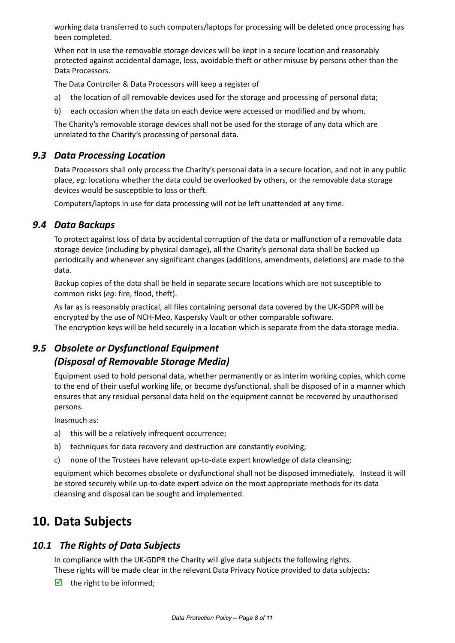working data transferred to such computers/laptops for processing will be deleted once processing has been completed.

When not in use the removable storage devices will be kept in a secure location and reasonably protected against accidental damage, loss, avoidable theft or other misuse by persons other than the Data Processors.

The Data Controller & Data Processors will keep a register of

- a) the location of all removable devices used for the storage and processing of personal data;
- b) each occasion when the data on each device were accessed or modified and by whom.

The Charity's removable storage devices shall not be used for the storage of any data which are unrelated to the Charity's processing of personal data.

### *9.3 Data Processing Location*

Data Processors shall only process the Charity's personal data in a secure location, and not in any public place, *eg:* locations whether the data could be overlooked by others, or the removable data storage devices would be susceptible to loss or theft.

Computers/laptops in use for data processing will not be left unattended at any time.

#### *9.4 Data Backups*

To protect against loss of data by accidental corruption of the data or malfunction of a removable data storage device (including by physical damage), all the Charity's personal data shall be backed up periodically and whenever any significant changes (additions, amendments, deletions) are made to the data.

Backup copies of the data shall be held in separate secure locations which are not susceptible to common risks (*eg:* fire, flood, theft).

As far as is reasonably practical, all files containing personal data covered by the UK-GDPR will be encrypted by the use of NCH-Meo, Kaspersky Vault or other comparable software. The encryption keys will be held securely in a location which is separate from the data storage media.

### *9.5 Obsolete or Dysfunctional Equipment (Disposal of Removable Storage Media)*

Equipment used to hold personal data, whether permanently or as interim working copies, which come to the end of their useful working life, or become dysfunctional, shall be disposed of in a manner which ensures that any residual personal data held on the equipment cannot be recovered by unauthorised persons.

Inasmuch as:

- a) this will be a relatively infrequent occurrence;
- b) techniques for data recovery and destruction are constantly evolving;
- c) none of the Trustees have relevant up-to-date expert knowledge of data cleansing;

equipment which becomes obsolete or dysfunctional shall not be disposed immediately. Instead it will be stored securely while up-to-date expert advice on the most appropriate methods for its data cleansing and disposal can be sought and implemented.

### **10. Data Subjects**

### *10.1 The Rights of Data Subjects*

In compliance with the UK-GDPR the Charity will give data subjects the following rights. These rights will be made clear in the relevant Data Privacy Notice provided to data subjects:

 $\triangleright$  the right to be informed;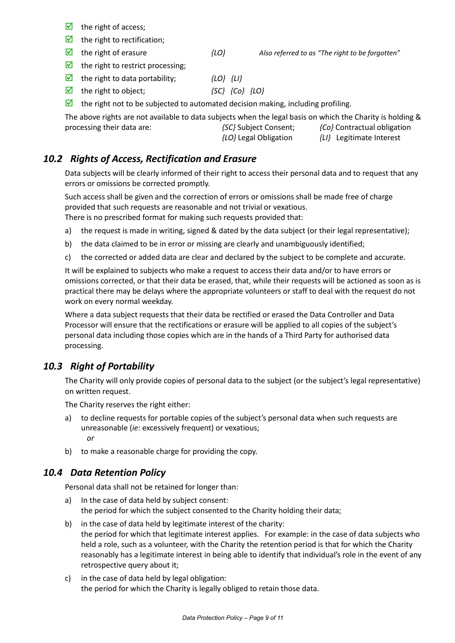- $\boxtimes$  the right of access;
- $\triangleright$  the right to rectification;
- the right of erasure *{LO} Also referred to as "The right to be forgotten"*

 $\triangleright$  the right to restrict processing;

- the right to data portability; *{LO} {LI}*
- $\overline{S}$  the right to object;  ${S}C$   ${C}$   ${C}$   ${L}$
- $\triangledown$  the right not to be subjected to automated decision making, including profiling.

The above rights are not available to data subjects when the legal basis on which the Charity is holding & processing their data are: *{SC}* Subject Consent; *{Co}* Contractual obligation *{LO}* Legal Obligation *{LI}* Legitimate Interest

### *10.2 Rights of Access, Rectification and Erasure*

Data subjects will be clearly informed of their right to access their personal data and to request that any errors or omissions be corrected promptly.

Such access shall be given and the correction of errors or omissions shall be made free of charge provided that such requests are reasonable and not trivial or vexatious.

There is no prescribed format for making such requests provided that:

- a) the request is made in writing, signed & dated by the data subject (or their legal representative);
- b) the data claimed to be in error or missing are clearly and unambiguously identified;
- c) the corrected or added data are clear and declared by the subject to be complete and accurate.

It will be explained to subjects who make a request to access their data and/or to have errors or omissions corrected, or that their data be erased, that, while their requests will be actioned as soon as is practical there may be delays where the appropriate volunteers or staff to deal with the request do not work on every normal weekday.

Where a data subject requests that their data be rectified or erased the Data Controller and Data Processor will ensure that the rectifications or erasure will be applied to all copies of the subject's personal data including those copies which are in the hands of a Third Party for authorised data processing.

### *10.3 Right of Portability*

The Charity will only provide copies of personal data to the subject (or the subject's legal representative) on written request.

The Charity reserves the right either:

- a) to decline requests for portable copies of the subject's personal data when such requests are unreasonable (*ie:* excessively frequent) or vexatious; *or*
- b) to make a reasonable charge for providing the copy.

#### *10.4 Data Retention Policy*

Personal data shall not be retained for longer than:

- a) In the case of data held by subject consent: the period for which the subject consented to the Charity holding their data;
- b) in the case of data held by legitimate interest of the charity: the period for which that legitimate interest applies. For example: in the case of data subjects who held a role, such as a volunteer, with the Charity the retention period is that for which the Charity reasonably has a legitimate interest in being able to identify that individual's role in the event of any retrospective query about it;
- c) in the case of data held by legal obligation: the period for which the Charity is legally obliged to retain those data.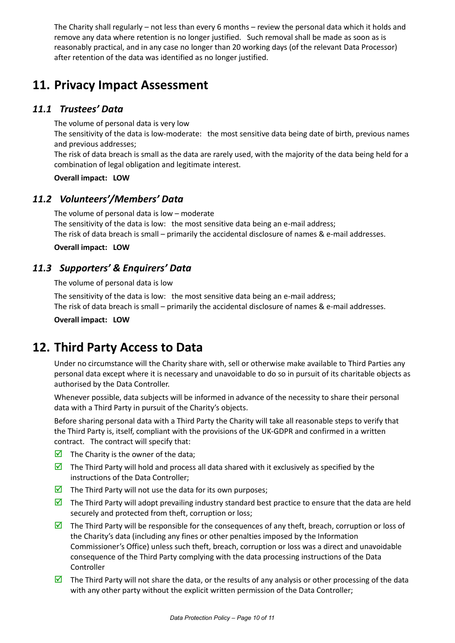The Charity shall regularly – not less than every 6 months – review the personal data which it holds and remove any data where retention is no longer justified. Such removal shall be made as soon as is reasonably practical, and in any case no longer than 20 working days (of the relevant Data Processor) after retention of the data was identified as no longer justified.

### **11. Privacy Impact Assessment**

### *11.1 Trustees' Data*

The volume of personal data is very low The sensitivity of the data is low-moderate: the most sensitive data being date of birth, previous names and previous addresses;

The risk of data breach is small as the data are rarely used, with the majority of the data being held for a combination of legal obligation and legitimate interest.

**Overall impact: LOW**

### *11.2 Volunteers'/Members' Data*

The volume of personal data is low – moderate The sensitivity of the data is low: the most sensitive data being an e-mail address; The risk of data breach is small – primarily the accidental disclosure of names & e-mail addresses.

#### **Overall impact: LOW**

### *11.3 Supporters' & Enquirers' Data*

The volume of personal data is low

The sensitivity of the data is low: the most sensitive data being an e-mail address; The risk of data breach is small – primarily the accidental disclosure of names & e-mail addresses.

**Overall impact: LOW**

### **12. Third Party Access to Data**

Under no circumstance will the Charity share with, sell or otherwise make available to Third Parties any personal data except where it is necessary and unavoidable to do so in pursuit of its charitable objects as authorised by the Data Controller.

Whenever possible, data subjects will be informed in advance of the necessity to share their personal data with a Third Party in pursuit of the Charity's objects.

Before sharing personal data with a Third Party the Charity will take all reasonable steps to verify that the Third Party is, itself, compliant with the provisions of the UK-GDPR and confirmed in a written contract. The contract will specify that:

- $\triangleright$  The Charity is the owner of the data;
- $\boxtimes$  The Third Party will hold and process all data shared with it exclusively as specified by the instructions of the Data Controller;
- $\triangledown$  The Third Party will not use the data for its own purposes;
- $\boxtimes$  The Third Party will adopt prevailing industry standard best practice to ensure that the data are held securely and protected from theft, corruption or loss;
- $\triangledown$  The Third Party will be responsible for the consequences of any theft, breach, corruption or loss of the Charity's data (including any fines or other penalties imposed by the Information Commissioner's Office) unless such theft, breach, corruption or loss was a direct and unavoidable consequence of the Third Party complying with the data processing instructions of the Data Controller
- $\boxtimes$  The Third Party will not share the data, or the results of any analysis or other processing of the data with any other party without the explicit written permission of the Data Controller;